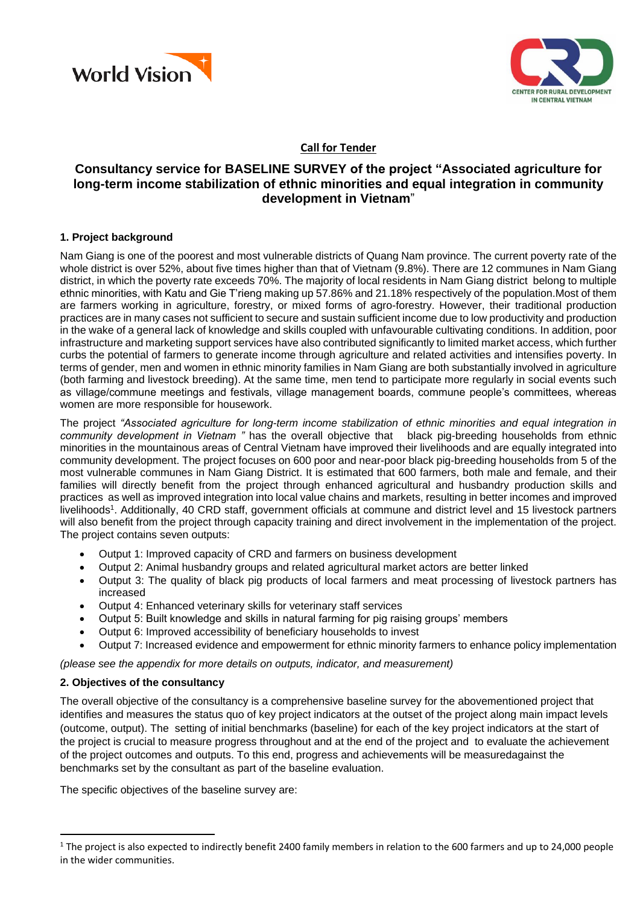



## **Call for Tender**

# **Consultancy service for BASELINE SURVEY of the project "Associated agriculture for long-term income stabilization of ethnic minorities and equal integration in community development in Vietnam**"

#### **1. Project background**

Nam Giang is one of the poorest and most vulnerable districts of Quang Nam province. The current poverty rate of the whole district is over 52%, about five times higher than that of Vietnam (9.8%). There are 12 communes in Nam Giang district, in which the poverty rate exceeds 70%. The majority of local residents in Nam Giang district belong to multiple ethnic minorities, with Katu and Gie T'rieng making up 57.86% and 21.18% respectively of the population.Most of them are farmers working in agriculture, forestry, or mixed forms of agro-forestry. However, their traditional production practices are in many cases not sufficient to secure and sustain sufficient income due to low productivity and production in the wake of a general lack of knowledge and skills coupled with unfavourable cultivating conditions. In addition, poor infrastructure and marketing support services have also contributed significantly to limited market access, which further curbs the potential of farmers to generate income through agriculture and related activities and intensifies poverty. In terms of gender, men and women in ethnic minority families in Nam Giang are both substantially involved in agriculture (both farming and livestock breeding). At the same time, men tend to participate more regularly in social events such as village/commune meetings and festivals, village management boards, commune people's committees, whereas women are more responsible for housework.

The project *"Associated agriculture for long-term income stabilization of ethnic minorities and equal integration in community development in Vietnam "* has the overall objective that black pig-breeding households from ethnic minorities in the mountainous areas of Central Vietnam have improved their livelihoods and are equally integrated into community development. The project focuses on 600 poor and near-poor black pig-breeding households from 5 of the most vulnerable communes in Nam Giang District. It is estimated that 600 farmers, both male and female, and their families will directly benefit from the project through enhanced agricultural and husbandry production skills and practices as well as improved integration into local value chains and markets, resulting in better incomes and improved livelihoods<sup>1</sup>. Additionally, 40 CRD staff, government officials at commune and district level and 15 livestock partners will also benefit from the project through capacity training and direct involvement in the implementation of the project. The project contains seven outputs:

- Output 1: Improved capacity of CRD and farmers on business development
- Output 2: Animal husbandry groups and related agricultural market actors are better linked
- Output 3: The quality of black pig products of local farmers and meat processing of livestock partners has increased
- Output 4: Enhanced veterinary skills for veterinary staff services
- Output 5: Built knowledge and skills in natural farming for pig raising groups' members
- Output 6: Improved accessibility of beneficiary households to invest
- Output 7: Increased evidence and empowerment for ethnic minority farmers to enhance policy implementation

*(please see the appendix for more details on outputs, indicator, and measurement)* 

#### **2. Objectives of the consultancy**

 $\overline{\phantom{a}}$ 

The overall objective of the consultancy is a comprehensive baseline survey for the abovementioned project that identifies and measures the status quo of key project indicators at the outset of the project along main impact levels (outcome, output). The setting of initial benchmarks (baseline) for each of the key project indicators at the start of the project is crucial to measure progress throughout and at the end of the project and to evaluate the achievement of the project outcomes and outputs. To this end, progress and achievements will be measuredagainst the benchmarks set by the consultant as part of the baseline evaluation.

The specific objectives of the baseline survey are:

<sup>&</sup>lt;sup>1</sup> The project is also expected to indirectly benefit 2400 family members in relation to the 600 farmers and up to 24,000 people in the wider communities.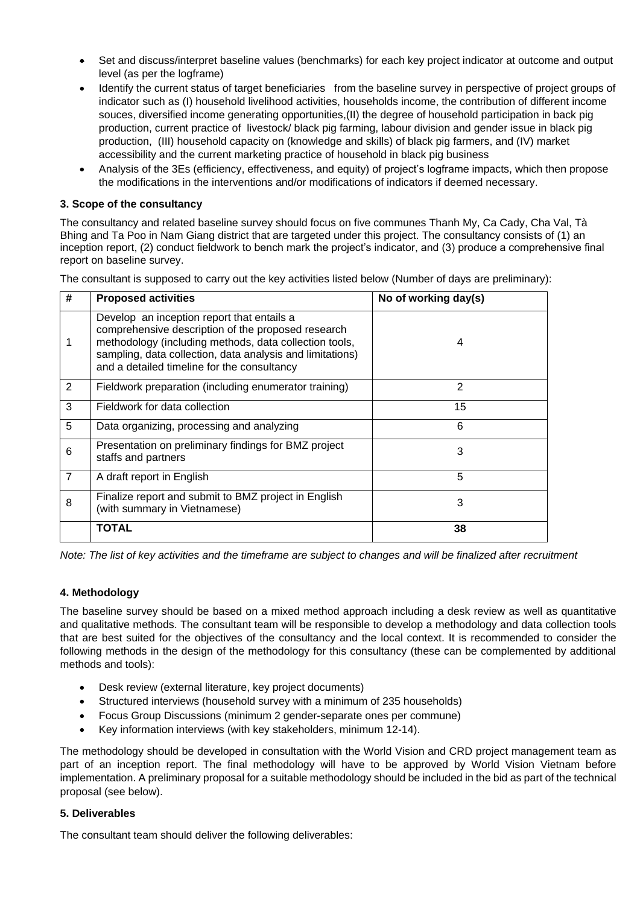- Set and discuss/interpret baseline values (benchmarks) for each key project indicator at outcome and output level (as per the logframe)
- Identify the current status of target beneficiaries from the baseline survey in perspective of project groups of indicator such as (I) household livelihood activities, households income, the contribution of different income souces, diversified income generating opportunities,(II) the degree of household participation in back pig production, current practice of livestock/ black pig farming, labour division and gender issue in black pig production, (III) household capacity on (knowledge and skills) of black pig farmers, and (IV) market accessibility and the current marketing practice of household in black pig business
- Analysis of the 3Es (efficiency, effectiveness, and equity) of project's logframe impacts, which then propose the modifications in the interventions and/or modifications of indicators if deemed necessary.

### **3. Scope of the consultancy**

The consultancy and related baseline survey should focus on five communes Thanh My, Ca Cady, Cha Val, Tà Bhing and Ta Poo in Nam Giang district that are targeted under this project. The consultancy consists of (1) an inception report, (2) conduct fieldwork to bench mark the project's indicator, and (3) produce a comprehensive final report on baseline survey.

The consultant is supposed to carry out the key activities listed below (Number of days are preliminary):

| #              | <b>Proposed activities</b>                                                                                                                                                                                                                                             | No of working day(s) |
|----------------|------------------------------------------------------------------------------------------------------------------------------------------------------------------------------------------------------------------------------------------------------------------------|----------------------|
|                | Develop an inception report that entails a<br>comprehensive description of the proposed research<br>methodology (including methods, data collection tools,<br>sampling, data collection, data analysis and limitations)<br>and a detailed timeline for the consultancy | 4                    |
| 2              | Fieldwork preparation (including enumerator training)                                                                                                                                                                                                                  | 2                    |
| 3              | Fieldwork for data collection                                                                                                                                                                                                                                          | 15                   |
| 5              | Data organizing, processing and analyzing                                                                                                                                                                                                                              | 6                    |
| 6              | Presentation on preliminary findings for BMZ project<br>staffs and partners                                                                                                                                                                                            | 3                    |
| $\overline{7}$ | A draft report in English                                                                                                                                                                                                                                              | 5                    |
| 8              | Finalize report and submit to BMZ project in English<br>(with summary in Vietnamese)                                                                                                                                                                                   | 3                    |
|                | <b>TOTAL</b>                                                                                                                                                                                                                                                           | 38                   |

*Note: The list of key activities and the timeframe are subject to changes and will be finalized after recruitment*

#### **4. Methodology**

The baseline survey should be based on a mixed method approach including a desk review as well as quantitative and qualitative methods. The consultant team will be responsible to develop a methodology and data collection tools that are best suited for the objectives of the consultancy and the local context. It is recommended to consider the following methods in the design of the methodology for this consultancy (these can be complemented by additional methods and tools):

- Desk review (external literature, key project documents)
- Structured interviews (household survey with a minimum of 235 households)
- Focus Group Discussions (minimum 2 gender-separate ones per commune)
- Key information interviews (with key stakeholders, minimum 12-14).

The methodology should be developed in consultation with the World Vision and CRD project management team as part of an inception report. The final methodology will have to be approved by World Vision Vietnam before implementation. A preliminary proposal for a suitable methodology should be included in the bid as part of the technical proposal (see below).

#### **5. Deliverables**

The consultant team should deliver the following deliverables: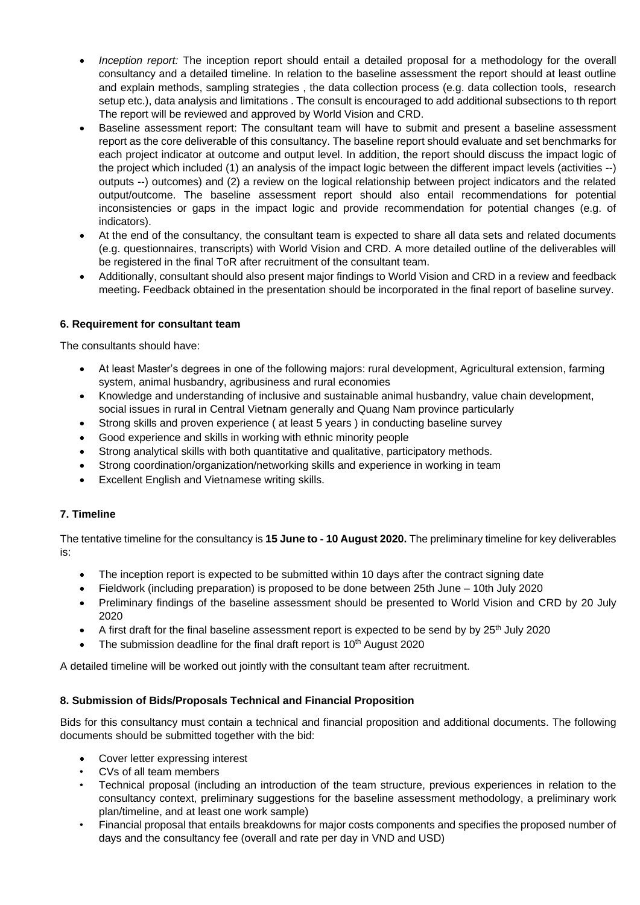- *Inception report:* The inception report should entail a detailed proposal for a methodology for the overall consultancy and a detailed timeline. In relation to the baseline assessment the report should at least outline and explain methods, sampling strategies , the data collection process (e.g. data collection tools, research setup etc.), data analysis and limitations . The consult is encouraged to add additional subsections to th report The report will be reviewed and approved by World Vision and CRD.
- Baseline assessment report: The consultant team will have to submit and present a baseline assessment report as the core deliverable of this consultancy. The baseline report should evaluate and set benchmarks for each project indicator at outcome and output level. In addition, the report should discuss the impact logic of the project which included (1) an analysis of the impact logic between the different impact levels (activities --) outputs --) outcomes) and (2) a review on the logical relationship between project indicators and the related output/outcome. The baseline assessment report should also entail recommendations for potential inconsistencies or gaps in the impact logic and provide recommendation for potential changes (e.g. of indicators).
- At the end of the consultancy, the consultant team is expected to share all data sets and related documents (e.g. questionnaires, transcripts) with World Vision and CRD. A more detailed outline of the deliverables will be registered in the final ToR after recruitment of the consultant team.
- Additionally, consultant should also present major findings to World Vision and CRD in a review and feedback meeting. Feedback obtained in the presentation should be incorporated in the final report of baseline survey.

### **6. Requirement for consultant team**

The consultants should have:

- At least Master's degrees in one of the following majors: rural development, Agricultural extension, farming system, animal husbandry, agribusiness and rural economies
- Knowledge and understanding of inclusive and sustainable animal husbandry, value chain development, social issues in rural in Central Vietnam generally and Quang Nam province particularly
- Strong skills and proven experience ( at least 5 years ) in conducting baseline survey
- Good experience and skills in working with ethnic minority people
- Strong analytical skills with both quantitative and qualitative, participatory methods.
- Strong coordination/organization/networking skills and experience in working in team
- Excellent English and Vietnamese writing skills.

#### **7. Timeline**

The tentative timeline for the consultancy is **15 June to - 10 August 2020.** The preliminary timeline for key deliverables is:

- The inception report is expected to be submitted within 10 days after the contract signing date
- Fieldwork (including preparation) is proposed to be done between 25th June 10th July 2020
- Preliminary findings of the baseline assessment should be presented to World Vision and CRD by 20 July 2020
- A first draft for the final baseline assessment report is expected to be send by by 25<sup>th</sup> July 2020
- The submission deadline for the final draft report is  $10<sup>th</sup>$  August 2020

A detailed timeline will be worked out jointly with the consultant team after recruitment.

#### **8. Submission of Bids/Proposals Technical and Financial Proposition**

Bids for this consultancy must contain a technical and financial proposition and additional documents. The following documents should be submitted together with the bid:

- Cover letter expressing interest
- CVs of all team members
- Technical proposal (including an introduction of the team structure, previous experiences in relation to the consultancy context, preliminary suggestions for the baseline assessment methodology, a preliminary work plan/timeline, and at least one work sample)
- Financial proposal that entails breakdowns for major costs components and specifies the proposed number of days and the consultancy fee (overall and rate per day in VND and USD)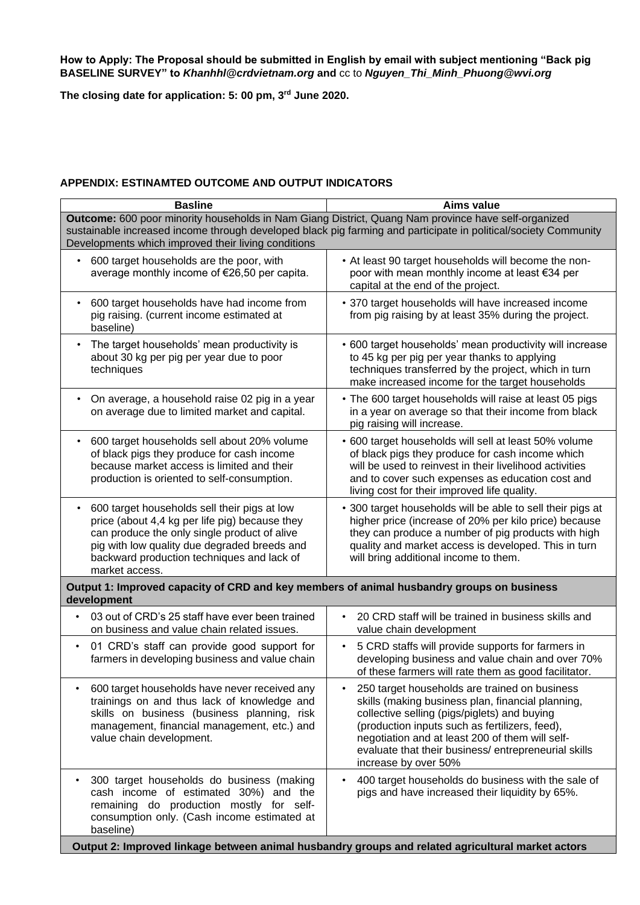**How to Apply: The Proposal should be submitted in English by email with subject mentioning "Back pig BASELINE SURVEY" to** *Khanhhl@crdvietnam.org* **and** cc to *Nguyen\_Thi\_Minh\_Phuong@wvi.org*

**The closing date for application: 5: 00 pm, 3 rd June 2020.**

## **APPENDIX: ESTINAMTED OUTCOME AND OUTPUT INDICATORS**

| <b>Basline</b>                                                                                                                                                                                                                                                                | <b>Aims value</b>                                                                                                                                                                                                                                                                                                                      |  |  |
|-------------------------------------------------------------------------------------------------------------------------------------------------------------------------------------------------------------------------------------------------------------------------------|----------------------------------------------------------------------------------------------------------------------------------------------------------------------------------------------------------------------------------------------------------------------------------------------------------------------------------------|--|--|
| Outcome: 600 poor minority households in Nam Giang District, Quang Nam province have self-organized<br>sustainable increased income through developed black pig farming and participate in political/society Community<br>Developments which improved their living conditions |                                                                                                                                                                                                                                                                                                                                        |  |  |
| 600 target households are the poor, with<br>average monthly income of €26,50 per capita.                                                                                                                                                                                      | • At least 90 target households will become the non-<br>poor with mean monthly income at least €34 per<br>capital at the end of the project.                                                                                                                                                                                           |  |  |
| 600 target households have had income from<br>$\bullet$<br>pig raising. (current income estimated at<br>baseline)                                                                                                                                                             | • 370 target households will have increased income<br>from pig raising by at least 35% during the project.                                                                                                                                                                                                                             |  |  |
| The target households' mean productivity is<br>$\bullet$<br>about 30 kg per pig per year due to poor<br>techniques                                                                                                                                                            | • 600 target households' mean productivity will increase<br>to 45 kg per pig per year thanks to applying<br>techniques transferred by the project, which in turn<br>make increased income for the target households                                                                                                                    |  |  |
| On average, a household raise 02 pig in a year<br>on average due to limited market and capital.                                                                                                                                                                               | • The 600 target households will raise at least 05 pigs<br>in a year on average so that their income from black<br>pig raising will increase.                                                                                                                                                                                          |  |  |
| 600 target households sell about 20% volume<br>of black pigs they produce for cash income<br>because market access is limited and their<br>production is oriented to self-consumption.                                                                                        | • 600 target households will sell at least 50% volume<br>of black pigs they produce for cash income which<br>will be used to reinvest in their livelihood activities<br>and to cover such expenses as education cost and<br>living cost for their improved life quality.                                                               |  |  |
| 600 target households sell their pigs at low<br>$\bullet$<br>price (about 4,4 kg per life pig) because they<br>can produce the only single product of alive<br>pig with low quality due degraded breeds and<br>backward production techniques and lack of<br>market access.   | • 300 target households will be able to sell their pigs at<br>higher price (increase of 20% per kilo price) because<br>they can produce a number of pig products with high<br>quality and market access is developed. This in turn<br>will bring additional income to them.                                                            |  |  |
| Output 1: Improved capacity of CRD and key members of animal husbandry groups on business<br>development                                                                                                                                                                      |                                                                                                                                                                                                                                                                                                                                        |  |  |
| 03 out of CRD's 25 staff have ever been trained<br>$\bullet$<br>on business and value chain related issues.                                                                                                                                                                   | 20 CRD staff will be trained in business skills and<br>value chain development                                                                                                                                                                                                                                                         |  |  |
| 01 CRD's staff can provide good support for<br>$\bullet$<br>farmers in developing business and value chain                                                                                                                                                                    | 5 CRD staffs will provide supports for farmers in<br>٠<br>developing business and value chain and over 70%<br>of these farmers will rate them as good facilitator.                                                                                                                                                                     |  |  |
| 600 target households have never received any<br>٠<br>trainings on and thus lack of knowledge and<br>skills on business (business planning, risk<br>management, financial management, etc.) and<br>value chain development.                                                   | 250 target households are trained on business<br>skills (making business plan, financial planning,<br>collective selling (pigs/piglets) and buying<br>(production inputs such as fertilizers, feed),<br>negotiation and at least 200 of them will self-<br>evaluate that their business/entrepreneurial skills<br>increase by over 50% |  |  |
| 300 target households do business (making<br>cash income of estimated 30%) and the<br>remaining do production mostly for self-<br>consumption only. (Cash income estimated at<br>baseline)                                                                                    | 400 target households do business with the sale of<br>pigs and have increased their liquidity by 65%.                                                                                                                                                                                                                                  |  |  |
| Output 2: Improved linkage between animal husbandry groups and related agricultural market actors                                                                                                                                                                             |                                                                                                                                                                                                                                                                                                                                        |  |  |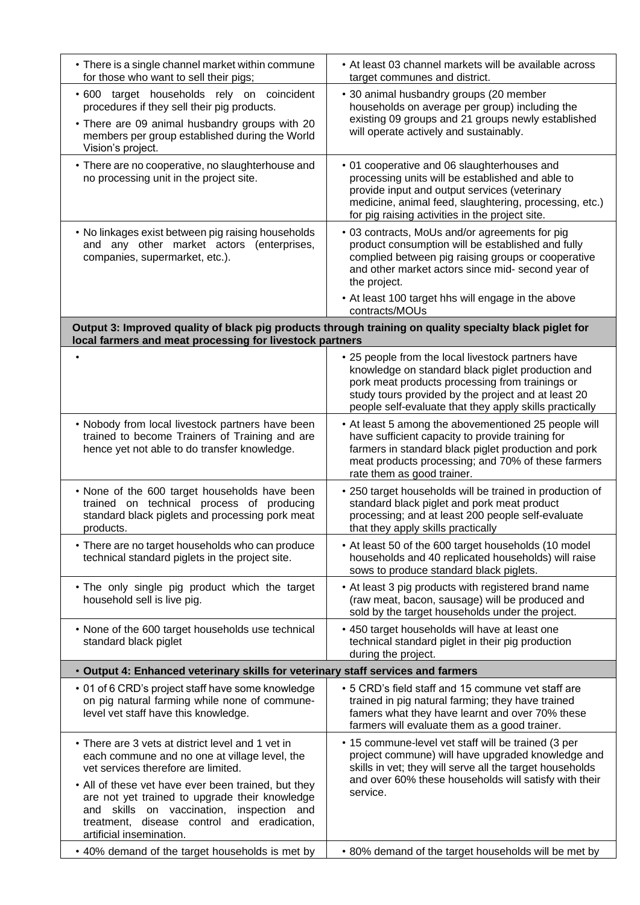| • There is a single channel market within commune<br>for those who want to sell their pigs;                                                                                                                                                                                                                                                                                   | • At least 03 channel markets will be available across<br>target communes and district.                                                                                                                                                                                              |  |  |  |
|-------------------------------------------------------------------------------------------------------------------------------------------------------------------------------------------------------------------------------------------------------------------------------------------------------------------------------------------------------------------------------|--------------------------------------------------------------------------------------------------------------------------------------------------------------------------------------------------------------------------------------------------------------------------------------|--|--|--|
| .600 target households rely on coincident<br>procedures if they sell their pig products.<br>• There are 09 animal husbandry groups with 20<br>members per group established during the World<br>Vision's project.                                                                                                                                                             | • 30 animal husbandry groups (20 member<br>households on average per group) including the<br>existing 09 groups and 21 groups newly established<br>will operate actively and sustainably.                                                                                            |  |  |  |
| • There are no cooperative, no slaughterhouse and<br>no processing unit in the project site.                                                                                                                                                                                                                                                                                  | • 01 cooperative and 06 slaughterhouses and<br>processing units will be established and able to<br>provide input and output services (veterinary<br>medicine, animal feed, slaughtering, processing, etc.)<br>for pig raising activities in the project site.                        |  |  |  |
| • No linkages exist between pig raising households<br>and any other market actors (enterprises,<br>companies, supermarket, etc.).                                                                                                                                                                                                                                             | • 03 contracts, MoUs and/or agreements for pig<br>product consumption will be established and fully<br>complied between pig raising groups or cooperative<br>and other market actors since mid- second year of<br>the project.<br>• At least 100 target hhs will engage in the above |  |  |  |
|                                                                                                                                                                                                                                                                                                                                                                               | contracts/MOUs                                                                                                                                                                                                                                                                       |  |  |  |
| Output 3: Improved quality of black pig products through training on quality specialty black piglet for<br>local farmers and meat processing for livestock partners                                                                                                                                                                                                           |                                                                                                                                                                                                                                                                                      |  |  |  |
|                                                                                                                                                                                                                                                                                                                                                                               | • 25 people from the local livestock partners have<br>knowledge on standard black piglet production and<br>pork meat products processing from trainings or<br>study tours provided by the project and at least 20<br>people self-evaluate that they apply skills practically         |  |  |  |
| • Nobody from local livestock partners have been<br>trained to become Trainers of Training and are<br>hence yet not able to do transfer knowledge.                                                                                                                                                                                                                            | • At least 5 among the abovementioned 25 people will<br>have sufficient capacity to provide training for<br>farmers in standard black piglet production and pork<br>meat products processing; and 70% of these farmers<br>rate them as good trainer.                                 |  |  |  |
| . None of the 600 target households have been<br>trained on technical process of producing<br>standard black piglets and processing pork meat<br>products.                                                                                                                                                                                                                    | • 250 target households will be trained in production of<br>standard black piglet and pork meat product<br>processing; and at least 200 people self-evaluate<br>that they apply skills practically                                                                                   |  |  |  |
| • There are no target households who can produce<br>technical standard piglets in the project site.                                                                                                                                                                                                                                                                           | • At least 50 of the 600 target households (10 model<br>households and 40 replicated households) will raise<br>sows to produce standard black piglets.                                                                                                                               |  |  |  |
| . The only single pig product which the target<br>household sell is live pig.                                                                                                                                                                                                                                                                                                 | • At least 3 pig products with registered brand name<br>(raw meat, bacon, sausage) will be produced and<br>sold by the target households under the project.                                                                                                                          |  |  |  |
| • None of the 600 target households use technical<br>standard black piglet                                                                                                                                                                                                                                                                                                    | • 450 target households will have at least one<br>technical standard piglet in their pig production<br>during the project.                                                                                                                                                           |  |  |  |
| . Output 4: Enhanced veterinary skills for veterinary staff services and farmers                                                                                                                                                                                                                                                                                              |                                                                                                                                                                                                                                                                                      |  |  |  |
| • 01 of 6 CRD's project staff have some knowledge<br>on pig natural farming while none of commune-<br>level vet staff have this knowledge.                                                                                                                                                                                                                                    | • 5 CRD's field staff and 15 commune vet staff are<br>trained in pig natural farming; they have trained<br>famers what they have learnt and over 70% these<br>farmers will evaluate them as a good trainer.                                                                          |  |  |  |
| • There are 3 vets at district level and 1 vet in<br>each commune and no one at village level, the<br>vet services therefore are limited.<br>• All of these vet have ever been trained, but they<br>are not yet trained to upgrade their knowledge<br>and skills on vaccination,<br>inspection and<br>treatment, disease control and eradication,<br>artificial insemination. | • 15 commune-level vet staff will be trained (3 per<br>project commune) will have upgraded knowledge and<br>skills in vet; they will serve all the target households<br>and over 60% these households will satisfy with their<br>service.                                            |  |  |  |
| • 40% demand of the target households is met by                                                                                                                                                                                                                                                                                                                               | • 80% demand of the target households will be met by                                                                                                                                                                                                                                 |  |  |  |